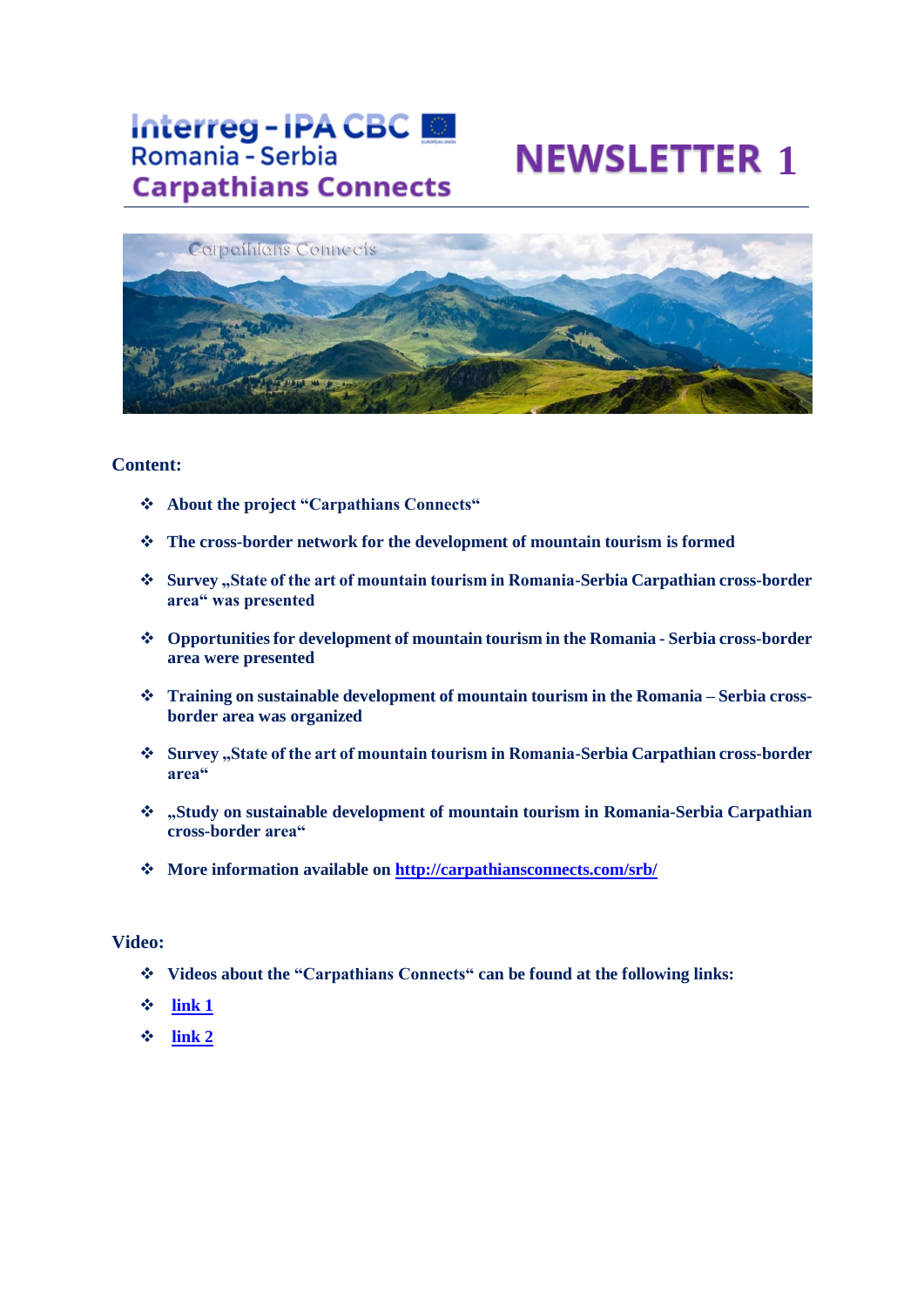## **Interreg-IPA CBC** Romania - Serbia **Carpathians Connects**

# **NEWSLETTER 1**



#### **Content:**

- ❖ **About the project "Carpathians Connects"**
- ❖ **The cross-border network for the development of mountain tourism is formed**
- ❖ **Survey "State of the art of mountain tourism in Romania-Serbia Carpathian cross-border area" was presented**
- ❖ **Opportunities for development of mountain tourism in the Romania - Serbia cross-border area were presented**
- ❖ **Training on sustainable development of mountain tourism in the Romania – Serbia crossborder area was organized**
- ❖ **Survey "State of the art of mountain tourism in Romania-Serbia Carpathian cross-border area"**
- ❖ **"Study on sustainable development of mountain tourism in Romania-Serbia Carpathian cross-border area"**
- ❖ **More information available on <http://carpathiansconnects.com/srb/>**

#### **Video:**

- ❖ **Videos about the "Carpathians Connects" can be found at the following links:**
- ❖ **[link 1](https://rtvbor.rs/vesti/7167-razvoj-planinskog-turizma-u-srbiji-i-rumuniji)**
- ❖ **[link 2](https://www.youtube.com/watch?v=W9BtHT6EWEk)**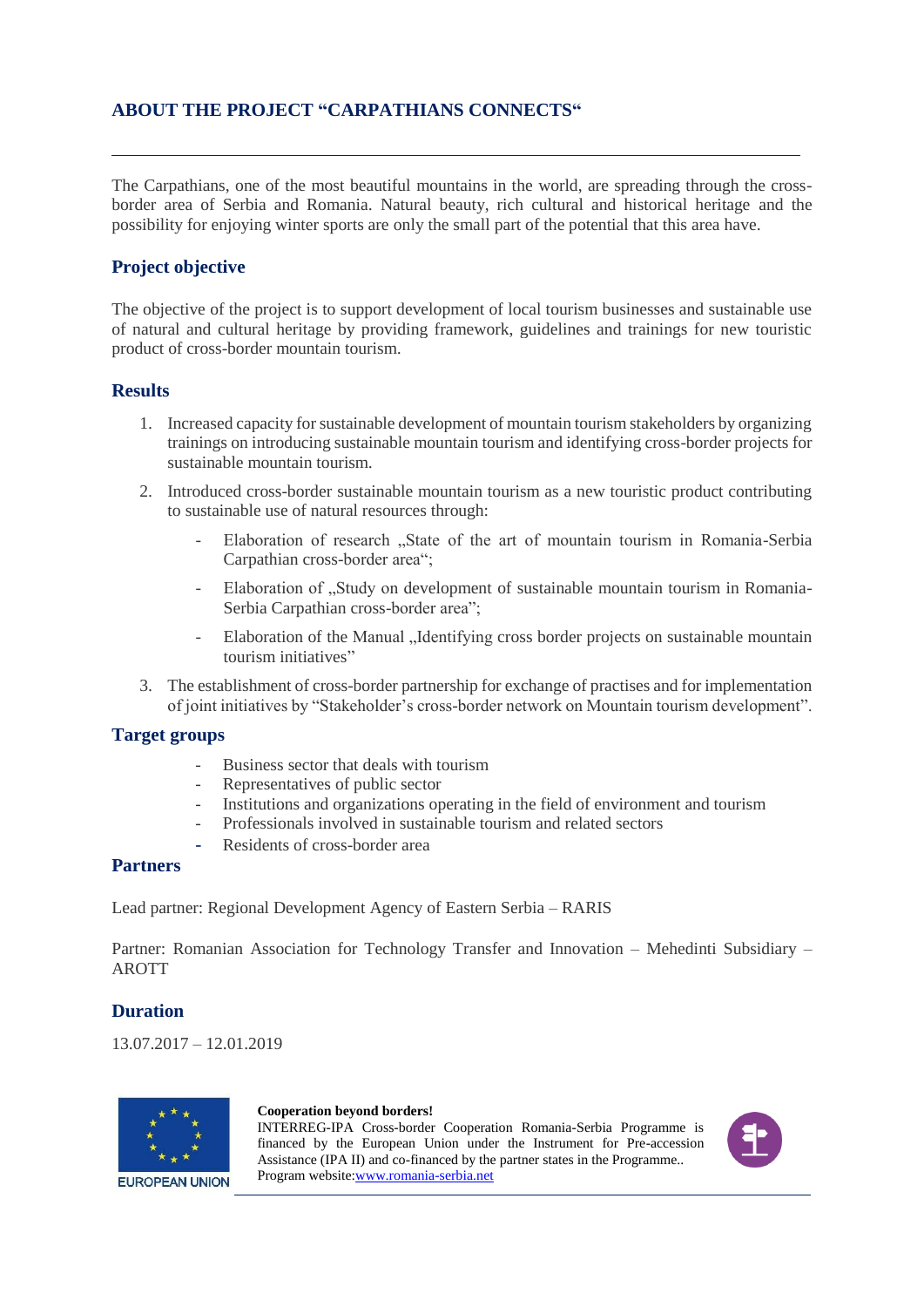### **ABOUT THE PROJECT "CARPATHIANS CONNECTS"**

The Carpathians, one of the most beautiful mountains in the world, are spreading through the crossborder area of Serbia and Romania. Natural beauty, rich cultural and historical heritage and the possibility for enjoying winter sports are only the small part of the potential that this area have.

### **Project objective**

The objective of the project is to support development of local tourism businesses and sustainable use of natural and cultural heritage by providing framework, guidelines and trainings for new touristic product of cross-border mountain tourism.

#### **Results**

- 1. Increased capacity for sustainable development of mountain tourism stakeholders by organizing trainings on introducing sustainable mountain tourism and identifying cross-border projects for sustainable mountain tourism.
- 2. Introduced cross-border sustainable mountain tourism as a new touristic product contributing to sustainable use of natural resources through:
	- Elaboration of research "State of the art of mountain tourism in Romania-Serbia" Carpathian cross-border area";
	- Elaboration of "Study on development of sustainable mountain tourism in Romania-Serbia Carpathian cross-border area";
	- Elaboration of the Manual "Identifying cross border projects on sustainable mountain tourism initiatives"
- 3. The establishment of cross-border partnership for exchange of practises and for implementation of joint initiatives by "Stakeholder's cross-border network on Mountain tourism development".

#### **Target groups**

- Business sector that deals with tourism
- Representatives of public sector
- Institutions and organizations operating in the field of environment and tourism
- Professionals involved in sustainable tourism and related sectors
- Residents of cross-border area

#### **Partners**

Lead partner: Regional Development Agency of Eastern Serbia – RARIS

Partner: Romanian Association for Technology Transfer and Innovation – Mehedinti Subsidiary – AROTT

#### **Duration**

13.07.2017 – 12.01.2019



#### **Cooperation beyond borders!**

INTERREG-IPA Cross-border Cooperation Romania-Serbia Programme is financed by the European Union under the Instrument for Pre-accession Assistance (IPA II) and co-financed by the partner states in the Programme.. Program website[:www.romania-serbia.net](http://www.romania-serbia.net/)

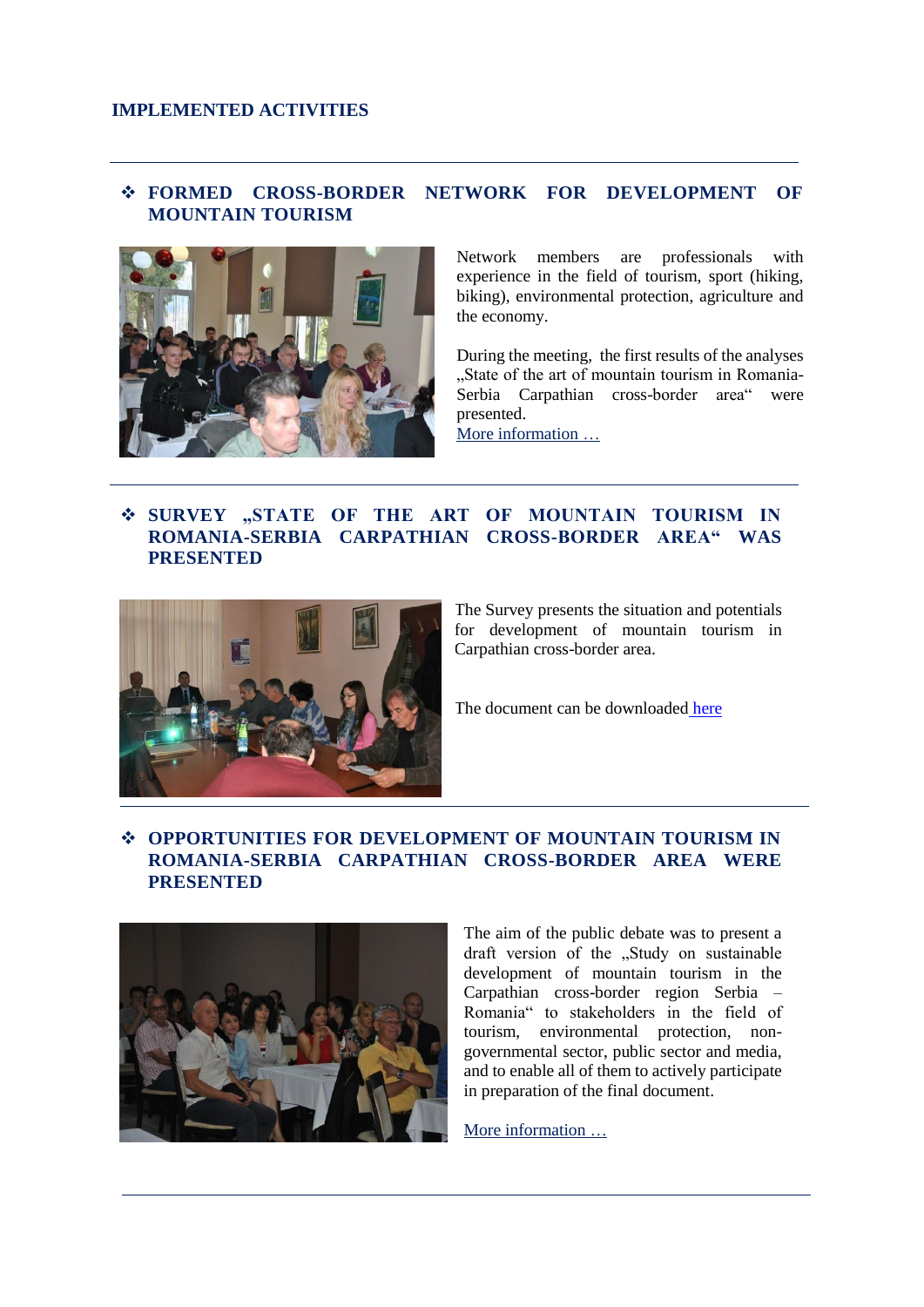#### **IMPLEMENTED ACTIVITIES**

#### ❖ **FORMED CROSS-BORDER NETWORK FOR DEVELOPMENT OF MOUNTAIN TOURISM**



Network members are professionals with experience in the field of tourism, sport (hiking, biking), environmental protection, agriculture and the economy.

During the meeting, the first results of the analyses "State of the art of mountain tourism in Romania-Serbia Carpathian cross-border area" were presented.

[More information](http://www.carpathiansconnects.com/index.php/news) …

### ❖ **SURVEY "STATE OF THE ART OF MOUNTAIN TOURISM IN ROMANIA-SERBIA CARPATHIAN CROSS-BORDER AREA" WAS PRESENTED**



The Survey presents the situation and potentials for development of mountain tourism in Carpathian cross-border area.

The document can be downloaded [here](http://www.carpathiansconnects.com/download/SoA_Eng_FINAL.pdf)

#### ❖ **OPPORTUNITIES FOR DEVELOPMENT OF MOUNTAIN TOURISM IN ROMANIA-SERBIA CARPATHIAN CROSS-BORDER AREA WERE PRESENTED**



The aim of the public debate was to present a draft version of the "Study on sustainable development of mountain tourism in the Carpathian cross-border region Serbia – Romania" to stakeholders in the field of tourism, environmental protection, nongovernmental sector, public sector and media, and to enable all of them to actively participate in preparation of the final document.

[More information](http://www.carpathiansconnects.com/index.php/news) …